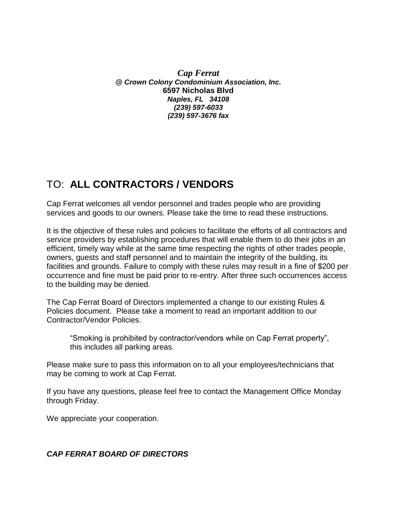*Cap Ferrat @ Crown Colony Condominium Association, Inc.*  **6597 Nicholas Blvd**  *Naples, FL 34108 (239) 597-6033 (239) 597-3676 fax*

## TO: **ALL CONTRACTORS / VENDORS**

Cap Ferrat welcomes all vendor personnel and trades people who are providing services and goods to our owners. Please take the time to read these instructions.

It is the objective of these rules and policies to facilitate the efforts of all contractors and service providers by establishing procedures that will enable them to do their jobs in an efficient, timely way while at the same time respecting the rights of other trades people, owners, guests and staff personnel and to maintain the integrity of the building, its facilities and grounds. Failure to comply with these rules may result in a fine of \$200 per occurrence and fine must be paid prior to re-entry. After three such occurrences access to the building may be denied.

The Cap Ferrat Board of Directors implemented a change to our existing Rules & Policies document. Please take a moment to read an important addition to our Contractor/Vendor Policies.

"Smoking is prohibited by contractor/vendors while on Cap Ferrat property", this includes all parking areas.

Please make sure to pass this information on to all your employees/technicians that may be coming to work at Cap Ferrat.

If you have any questions, please feel free to contact the Management Office Monday through Friday.

We appreciate your cooperation.

## *CAP FERRAT BOARD OF DIRECTORS*